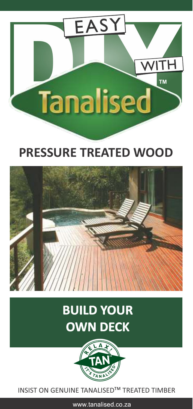

## **PRESSURE TREATED WOOD**



# **BUILD YOUR OWN DECK**



**INSIST ON GENUINE TANALISED™ TREATED TIMBER** 

www.tanalised.co.za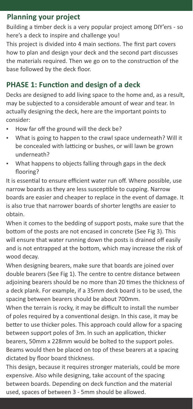#### **Planning your project**

Building a timber deck is a very popular project among DIY'ers - so here's a deck to inspire and challenge you!

This project is divided into 4 main sections. The first part covers how to plan and design your deck and the second part discusses the materials required. Then we go on to the construction of the base followed by the deck floor.

### **PHASE 1: Function and design of a deck**

Decks are designed to add living space to the home and, as a result, may be subjected to a considerable amount of wear and tear. In actually designing the deck, here are the important points to consider:

- How far off the ground will the deck be?
- What is going to happen to the crawl space underneath? Will it be concealed with latticing or bushes, or will lawn be grown underneath?
- What happens to objects falling through gaps in the deck flooring?

It is essential to ensure efficient water run off. Where possible, use narrow boards as they are less susceptible to cupping. Narrow boards are easier and cheaper to replace in the event of damage. It is also true that narrower boards of shorter lengths are easier to obtain.

When it comes to the bedding of support posts, make sure that the bottom of the posts are not encased in concrete (See Fig 3). This will ensure that water running down the posts is drained off easily and is not entrapped at the bottom, which may increase the risk of wood decay.

When designing bearers, make sure that boards are joined over double bearers (See Fig 1). The centre to centre distance between adjoining bearers should be no more than 20 times the thickness of a deck plank. For example, if a 35mm deck board is to be used, the spacing between bearers should be about 700mm.

When the terrain is rocky, it may be difficult to install the number of poles required by a conventional design. In this case, it may be better to use thicker poles. This approach could allow for a spacing between support poles of 3m. In such an application, thicker bearers, 50mm x 228mm would be bolted to the support poles. Beams would then be placed on top of these bearers at a spacing dictated by floor board thickness.

This design, because it requires stronger materials, could be more expensive. Also while designing, take account of the spacing between boards. Depending on deck function and the material used, spaces of between 3 - 5mm should be allowed.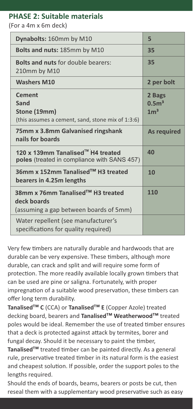#### **PHASE 2: Suitable materials**

(For a 4m x 6m deck)

| Dynabolts: 160mm by M10                                                                    | 5                                            |
|--------------------------------------------------------------------------------------------|----------------------------------------------|
| <b>Bolts and nuts: 185mm by M10</b>                                                        | 35                                           |
| <b>Bolts and nuts for double bearers:</b><br>210mm by M10                                  | 35                                           |
| <b>Washers M10</b>                                                                         | 2 per bolt                                   |
| <b>Cement</b><br>Sand<br>Stone (19mm)<br>(this assumes a cement, sand, stone mix of 1:3:6) | 2 Bags<br>0.5 <sup>3</sup><br>1 <sup>3</sup> |
| 75mm x 3.8mm Galvanised ringshank<br>nails for boards                                      | As required                                  |
| 120 x 139mm Tanalised™ H4 treated<br>poles (treated in compliance with SANS 457)           | 40                                           |
| 36mm x 152mm Tanalised™ H3 treated<br>bearers in 4.25m lengths                             | 10                                           |
| 38mm x 76mm Tanalised™ H3 treated<br>deck boards<br>(assuming a gap between boards of 5mm) | 110                                          |
| Water repellent (see manufacturer's<br>specifications for quality required)                |                                              |

Very few mbers are naturally durable and hardwoods that are durable can be very expensive. These timbers, although more durable, can crack and split and will require some form of protection. The more readily available locally grown timbers that can be used are pine or saligna. Fortunately, with proper impregnation of a suitable wood preservation, these timbers can offer long term durability.

Tanalised<sup>™</sup> C (CCA) or Tanalised<sup>™</sup> E (Copper Azole) treated decking board, bearers and **Tanalised<sup>™</sup> Weatherwood™** treated poles would be ideal. Remember the use of treated timber ensures that a deck is protected against attack by termites, borer and fungal decay. Should it be necessary to paint the timber, Tanalised<sup>™</sup> treated timber can be painted directly. As a general rule, preservative treated timber in its natural form is the easiest and cheapest solution. If possible, order the support poles to the lengths required.

Should the ends of boards, beams, bearers or posts be cut, then reseal them with a supplementary wood preservative such as easy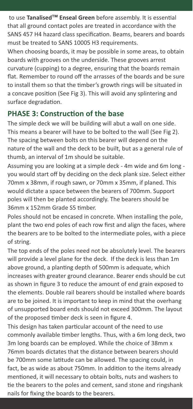to use **Tanalised<sup>™</sup> Enseal Green** before assembly. It is essential that all ground contact poles are treated in accordance with the SANS 457 H4 hazard class specification. Beams, bearers and boards must be treated to SANS 10005 H3 requirements.

When choosing boards, it may be possible in some areas, to obtain boards with grooves on the underside. These grooves arrest curvature (cupping) to a degree, ensuring that the boards remain flat. Remember to round off the arrasses of the boards and be sure to install them so that the timber's growth rings will be situated in a concave position (See Fig 3). This will avoid any splintering and surface degradation.

#### **PHASE 3: Construction of the base**

The simple deck we will be building will abut a wall on one side. This means a bearer will have to be bolted to the wall (See Fig 2). The spacing between bolts on this bearer will depend on the nature of the wall and the deck to be built, but as a general rule of thumb, an interval of 1m should be suitable.

Assuming you are looking at a simple deck - 4m wide and 6m long you would start off by deciding on the deck plank size. Select either 70mm x 38mm, if rough sawn, or 70mm x 35mm, if planed. This would dictate a space between the bearers of 700mm. Support poles will then be planted accordingly. The bearers should be 36mm x 152mm Grade S5 timber

Poles should not be encased in concrete. When installing the pole, plant the two end poles of each row first and align the faces, where the bearers are to be bolted to the intermediate poles, with a piece of string.

The top ends of the poles need not be absolutely level. The bearers will provide a level plane for the deck. If the deck is less than 1m above ground, a planting depth of 500mm is adequate, which increases with greater ground clearance. Bearer ends should be cut as shown in figure 3 to reduce the amount of end grain exposed to the elements. Double rail bearers should be installed where boards are to be joined. It is important to keep in mind that the overhang of unsupported board ends should not exceed 300mm. The layout of the proposed timber deck is seen in figure 4.

This design has taken particular account of the need to use commonly available timber lengths. Thus, with a 6m long deck, two 3m long boards can be employed. While the choice of 38mm x 76mm boards dictates that the distance between bearers should be 700mm some latitude can be allowed. The spacing could, in fact, be as wide as about 750mm. In addition to the items already mentioned, it will necessary to obtain bolts, nuts and washers to tie the bearers to the poles and cement, sand stone and ringshank nails for fixing the boards to the bearers.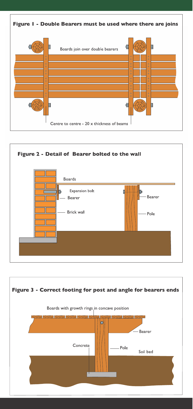



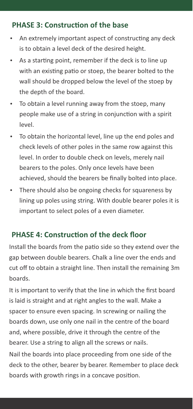#### **PHASE 3: Construction of the base**

- An extremely important aspect of constructing any deck is to obtain a level deck of the desired height.
- As a starting point, remember if the deck is to line up with an existing patio or stoep, the bearer bolted to the wall should be dropped below the level of the stoep by the depth of the board.
- To obtain a level running away from the stoep, many people make use of a string in conjunction with a spirit level.
- To obtain the horizontal level, line up the end poles and check levels of other poles in the same row against this level. In order to double check on levels, merely nail bearers to the poles. Only once levels have been achieved, should the bearers be finally bolted into place.
- There should also be ongoing checks for squareness by lining up poles using string. With double bearer poles it is important to select poles of a even diameter.

#### **PHASE 4: Construction of the deck floor**

Install the boards from the patio side so they extend over the gap between double bearers. Chalk a line over the ends and cut off to obtain a straight line. Then install the remaining 3m boards.

It is important to verify that the line in which the first board is laid is straight and at right angles to the wall. Make a spacer to ensure even spacing. In screwing or nailing the boards down, use only one nail in the centre of the board and, where possible, drive it through the centre of the bearer. Use a string to align all the screws or nails. Nail the boards into place proceeding from one side of the deck to the other, bearer by bearer. Remember to place deck

boards with growth rings in a concave position.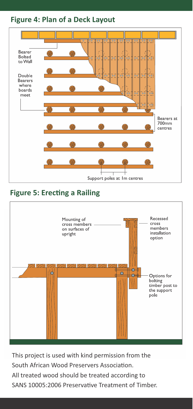#### **Figure 4: Plan of a Deck Layout**



## **Figure 5: Erecting a Railing**



This project is used with kind permission from the South African Wood Preservers Association. All treated wood should be treated according to SANS 10005:2006 Preservative Treatment of Timber.